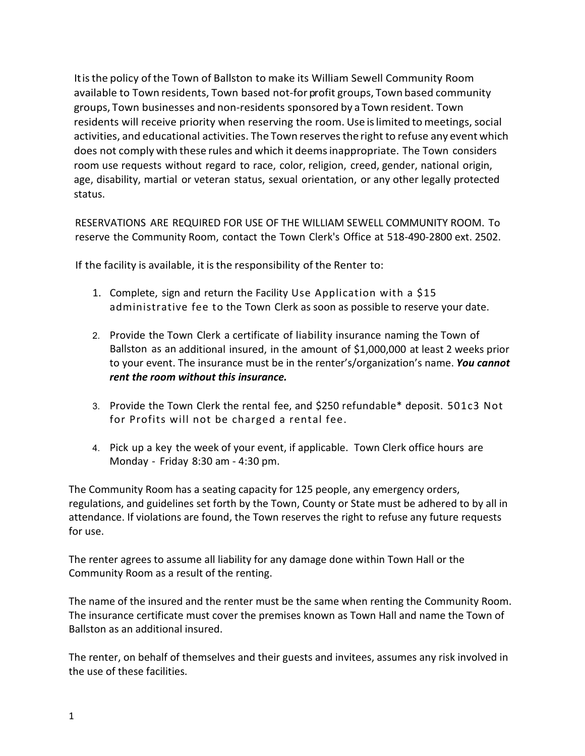Itisthe policy ofthe Town of Ballston to make its William Sewell Community Room available to Town residents, Town based not-for profit groups, Town based community groups, Town businesses and non-residents sponsored by a Town resident. Town residents will receive priority when reserving the room. Use is limited to meetings, social activities, and educational activities. The Town reserves the right to refuse any event which does not comply with these rules and which it deemsinappropriate. The Town considers room use requests without regard to race, color, religion, creed, gender, national origin, age, disability, martial or veteran status, sexual orientation, or any other legally protected status.

RESERVATIONS ARE REQUIRED FOR USE OF THE WILLIAM SEWELL COMMUNITY ROOM. To reserve the Community Room, contact the Town Clerk's Office at 518-490-2800 ext. 2502.

If the facility is available, it is the responsibility of the Renter to:

- 1. Complete, sign and return the Facility Use Application with a \$15 administrative fee to the Town Clerk as soon as possible to reserve your date.
- 2. Provide the Town Clerk a certificate of liability insurance naming the Town of Ballston as an additional insured, in the amount of \$1,000,000 at least 2 weeks prior to your event. The insurance must be in the renter's/organization's name. *You cannot rent the room without this insurance.*
- 3. Provide the Town Clerk the rental fee, and \$250 refundable\* deposit. 501c3 Not for Profits will not be charged a rental fee.
- 4. Pick up a key the week of your event, if applicable. Town Clerk office hours are Monday - Friday 8:30 am - 4:30 pm.

The Community Room has a seating capacity for 125 people, any emergency orders, regulations, and guidelines set forth by the Town, County or State must be adhered to by all in attendance. If violations are found, the Town reserves the right to refuse any future requests for use.

The renter agrees to assume all liability for any damage done within Town Hall or the Community Room as a result of the renting.

The name of the insured and the renter must be the same when renting the Community Room. The insurance certificate must cover the premises known as Town Hall and name the Town of Ballston as an additional insured.

The renter, on behalf of themselves and their guests and invitees, assumes any risk involved in the use of these facilities.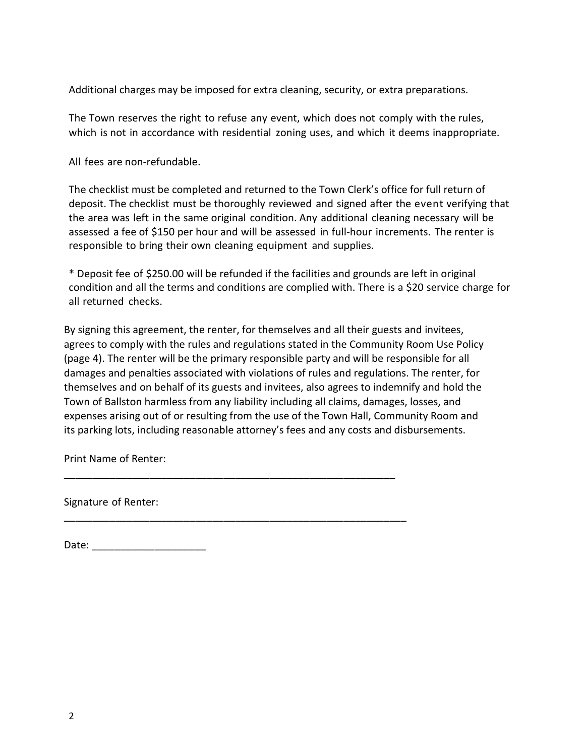Additional charges may be imposed for extra cleaning, security, or extra preparations.

The Town reserves the right to refuse any event, which does not comply with the rules, which is not in accordance with residential zoning uses, and which it deems inappropriate.

All fees are non-refundable.

The checklist must be completed and returned to the Town Clerk's office for full return of deposit. The checklist must be thoroughly reviewed and signed after the event verifying that the area was left in the same original condition. Any additional cleaning necessary will be assessed a fee of \$150 per hour and will be assessed in full-hour increments. The renter is responsible to bring their own cleaning equipment and supplies.

\* Deposit fee of \$250.00 will be refunded if the facilities and grounds are left in original condition and all the terms and conditions are complied with. There is a \$20 service charge for all returned checks.

By signing this agreement, the renter, for themselves and all their guests and invitees, agrees to comply with the rules and regulations stated in the Community Room Use Policy (page 4). The renter will be the primary responsible party and will be responsible for all damages and penalties associated with violations of rules and regulations. The renter, for themselves and on behalf of its guests and invitees, also agrees to indemnify and hold the Town of Ballston harmless from any liability including all claims, damages, losses, and expenses arising out of or resulting from the use of the Town Hall, Community Room and its parking lots, including reasonable attorney's fees and any costs and disbursements.

\_\_\_\_\_\_\_\_\_\_\_\_\_\_\_\_\_\_\_\_\_\_\_\_\_\_\_\_\_\_\_\_\_\_\_\_\_\_\_\_\_\_\_\_\_\_\_\_\_\_\_\_\_\_\_\_\_\_

\_\_\_\_\_\_\_\_\_\_\_\_\_\_\_\_\_\_\_\_\_\_\_\_\_\_\_\_\_\_\_\_\_\_\_\_\_\_\_\_\_\_\_\_\_\_\_\_\_\_\_\_\_\_\_\_\_\_\_\_

Print Name of Renter:

Signature of Renter:

Date: \_\_\_\_\_\_\_\_\_\_\_\_\_\_\_\_\_\_\_\_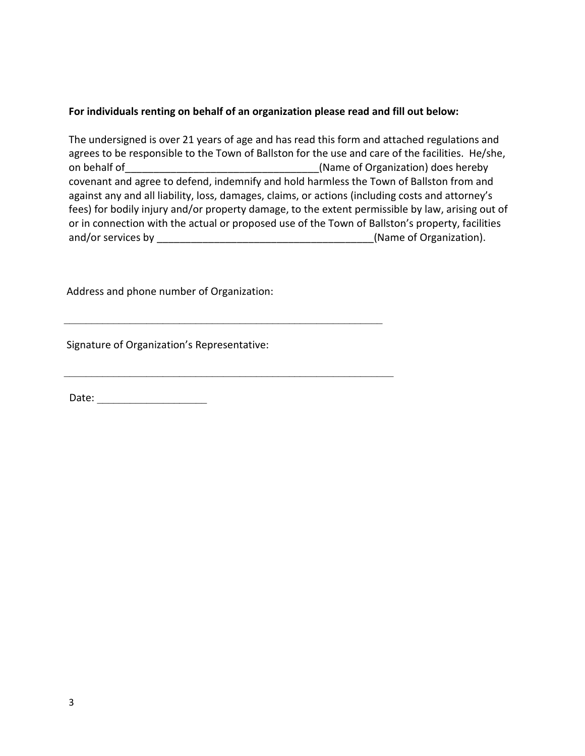## **For individuals renting on behalf of an organization please read and fill out below:**

The undersigned is over 21 years of age and has read this form and attached regulations and agrees to be responsible to the Town of Ballston for the use and care of the facilities. He/she, on behalf of example and the set of  $(Name of Organization)$  does hereby covenant and agree to defend, indemnify and hold harmless the Town of Ballston from and against any and all liability, loss, damages, claims, or actions (including costs and attorney's fees) for bodily injury and/or property damage, to the extent permissible by law, arising out of or in connection with the actual or proposed use of the Town of Ballston's property, facilities and/or services by \_\_\_\_\_\_\_\_\_\_\_\_\_\_\_\_\_\_\_\_\_\_\_\_\_\_\_\_\_\_\_\_\_\_\_\_\_\_(Name of Organization).

Address and phone number of Organization:

 $\mathcal{L}_\mathcal{L}$  , and the contribution of the contribution of the contribution of the contribution of the contribution of the contribution of the contribution of the contribution of the contribution of the contribution of

\_\_\_\_\_\_\_\_\_\_\_\_\_\_\_\_\_\_\_\_\_\_\_\_\_\_\_\_\_\_\_\_\_\_\_\_\_\_\_\_\_\_\_\_\_\_\_\_\_\_\_\_\_\_\_\_\_\_\_\_

Signature of Organization's Representative:

Date: \_\_\_\_\_\_\_\_\_\_\_\_\_\_\_\_\_\_\_\_